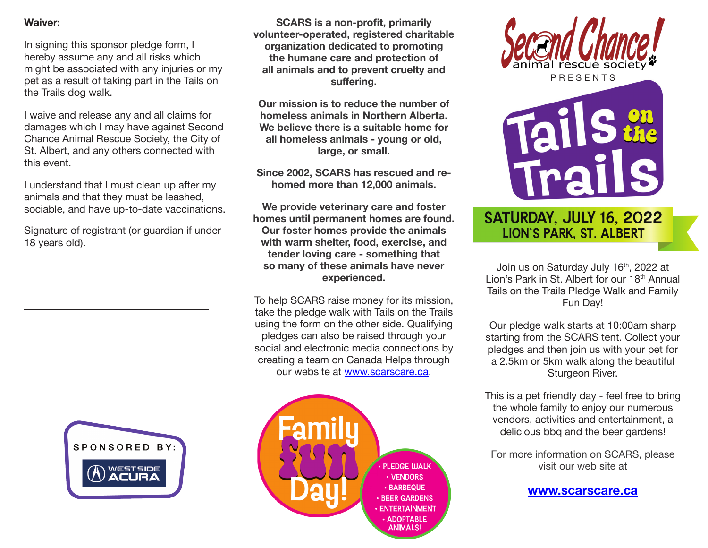#### **Waiver:**

In signing this sponsor pledge form, I hereby assume any and all risks which might be associated with any injuries or my pet as a result of taking part in the Tails on the Trails dog walk.

I waive and release any and all claims for damages which I may have against Second Chance Animal Rescue Society, the City of St. Albert, and any others connected with this event.

I understand that I must clean up after my animals and that they must be leashed, sociable, and have up-to-date vaccinations.

Signature of registrant (or guardian if under 18 years old).



**SCARS is a non-profit, primarily volunteer-operated, registered charitable organization dedicated to promoting the humane care and protection of all animals and to prevent cruelty and suffering.** 

**Our mission is to reduce the number of homeless animals in Northern Alberta. We believe there is a suitable home for all homeless animals - young or old, large, or small.**

**Since 2002, SCARS has rescued and rehomed more than 12,000 animals.** 

**We provide veterinary care and foster homes until permanent homes are found. Our foster homes provide the animals with warm shelter, food, exercise, and tender loving care - something that so many of these animals have never experienced.** 

To help SCARS raise money for its mission, take the pledge walk with Tails on the Trails using the form on the other side. Qualifying pledges can also be raised through your social and electronic media connections by creating a team on Canada Helps through our website at www.scarscare.ca.







### SATURDAY, JULY 16, 2022 **LION'S PARK, ST. ALBERT**

Join us on Saturday July 16<sup>th</sup>, 2022 at Lion's Park in St. Albert for our 18<sup>th</sup> Annual Tails on the Trails Pledge Walk and Family Fun Day!

Our pledge walk starts at 10:00am sharp starting from the SCARS tent. Collect your pledges and then join us with your pet for a 2.5km or 5km walk along the beautiful Sturgeon River.

This is a pet friendly day - feel free to bring the whole family to enjoy our numerous vendors, activities and entertainment, a delicious bbq and the beer gardens!

For more information on SCARS, please visit our web site at

#### **www.scarscare.ca**